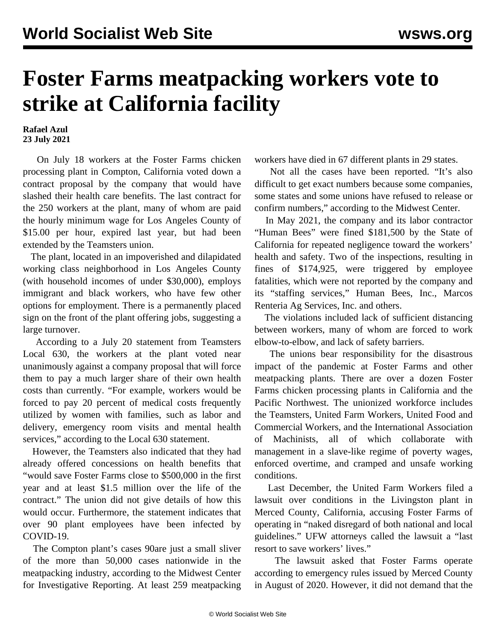## **Foster Farms meatpacking workers vote to strike at California facility**

**Rafael Azul 23 July 2021**

 On July 18 workers at the Foster Farms chicken processing plant in Compton, California voted down a contract proposal by the company that would have slashed their health care benefits. The last contract for the 250 workers at the plant, many of whom are paid the hourly minimum wage for Los Angeles County of \$15.00 per hour, expired last year, but had been extended by the Teamsters union.

 The plant, located in an impoverished and dilapidated working class neighborhood in Los Angeles County (with household incomes of under \$30,000), employs immigrant and black workers, who have few other options for employment. There is a permanently placed sign on the front of the plant offering jobs, suggesting a large turnover.

 According to a July 20 statement from Teamsters Local 630, the workers at the plant voted near unanimously against a company proposal that will force them to pay a much larger share of their own health costs than currently. "For example, workers would be forced to pay 20 percent of medical costs frequently utilized by women with families, such as labor and delivery, emergency room visits and mental health services," according to the Local 630 statement.

 However, the Teamsters also indicated that they had already offered concessions on health benefits that "would save Foster Farms close to \$500,000 in the first year and at least \$1.5 million over the life of the contract." The union did not give details of how this would occur. Furthermore, the statement indicates that over 90 plant employees have been infected by COVID-19.

 The Compton plant's cases 90are just a small sliver of the more than 50,000 cases nationwide in the meatpacking industry, according to the Midwest Center for Investigative Reporting. At least 259 meatpacking

workers have died in 67 different plants in 29 states.

 Not all the cases have been reported. "It's also difficult to get exact numbers because some companies, some states and some unions have refused to release or confirm numbers," according to the Midwest Center.

 In May 2021, the company and its labor contractor "Human Bees" were fined \$181,500 by the State of California for repeated negligence toward the workers' health and safety. Two of the inspections, resulting in fines of \$174,925, were triggered by employee fatalities, which were not reported by the company and its "staffing services," Human Bees, Inc., Marcos Renteria Ag Services, Inc. and others.

 The violations included lack of sufficient distancing between workers, many of whom are forced to work elbow-to-elbow, and lack of safety barriers.

 The unions bear responsibility for the disastrous impact of the pandemic at Foster Farms and other meatpacking plants. There are over a dozen Foster Farms chicken processing plants in California and the Pacific Northwest. The unionized workforce includes the Teamsters, United Farm Workers, United Food and Commercial Workers, and the International Association of Machinists, all of which collaborate with management in a slave-like regime of poverty wages, enforced overtime, and cramped and unsafe working conditions.

 Last December, the United Farm Workers filed a lawsuit over conditions in the Livingston plant in Merced County, California, accusing Foster Farms of operating in "naked disregard of both national and local guidelines." UFW attorneys called the lawsuit a "last resort to save workers' lives."

 The lawsuit asked that Foster Farms operate according to emergency rules issued by Merced County in August of 2020. However, it did not demand that the